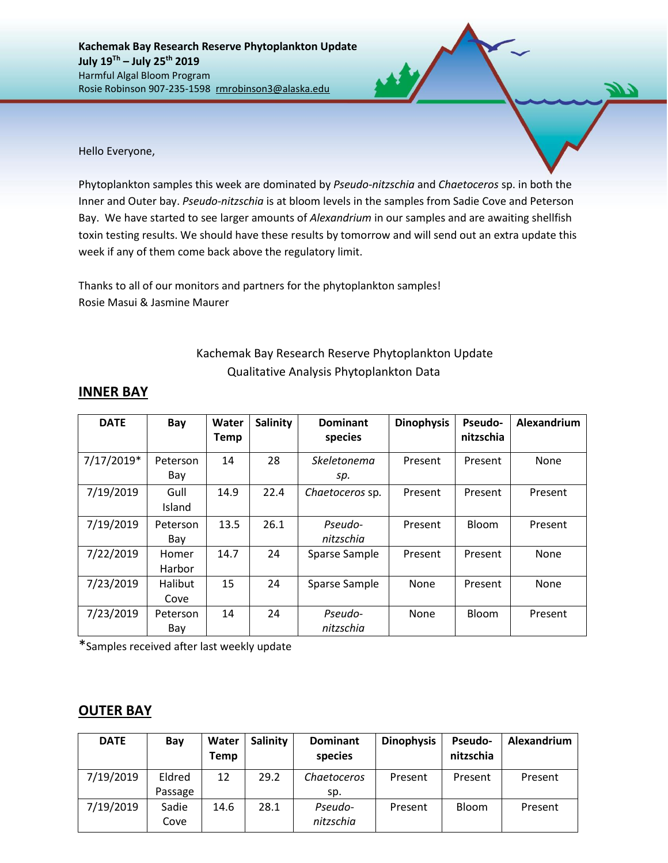**Kachemak Bay Research Reserve Phytoplankton Update July 19Th – July 25th 2019** Harmful Algal Bloom Program Rosie Robinson 907-235-1598 rmrobinson3@alaska.edu

Hello Everyone,

Phytoplankton samples this week are dominated by *Pseudo-nitzschia* and *Chaetoceros* sp. in both the Inner and Outer bay. *Pseudo-nitzschia* is at bloom levels in the samples from Sadie Cove and Peterson Bay. We have started to see larger amounts of *Alexandrium* in our samples and are awaiting shellfish toxin testing results. We should have these results by tomorrow and will send out an extra update this week if any of them come back above the regulatory limit.

Thanks to all of our monitors and partners for the phytoplankton samples! Rosie Masui & Jasmine Maurer

## Kachemak Bay Research Reserve Phytoplankton Update Qualitative Analysis Phytoplankton Data

| <b>DATE</b> | Bay             | Water<br><b>Temp</b> | <b>Salinity</b> | <b>Dominant</b><br>species | <b>Dinophysis</b> | <b>Pseudo-</b><br>nitzschia | Alexandrium |
|-------------|-----------------|----------------------|-----------------|----------------------------|-------------------|-----------------------------|-------------|
| 7/17/2019*  | Peterson<br>Bay | 14                   | 28              | Skeletonema<br>sp.         | Present           | Present                     | None        |
| 7/19/2019   | Gull<br>Island  | 14.9                 | 22.4            | Chaetoceros sp.            | Present           | Present                     | Present     |
| 7/19/2019   | Peterson<br>Bay | 13.5                 | 26.1            | Pseudo-<br>nitzschia       | Present           | Bloom                       | Present     |
| 7/22/2019   | Homer<br>Harbor | 14.7                 | 24              | Sparse Sample              | Present           | Present                     | None        |
| 7/23/2019   | Halibut<br>Cove | 15                   | 24              | Sparse Sample              | None              | Present                     | None        |
| 7/23/2019   | Peterson<br>Bay | 14                   | 24              | Pseudo-<br>nitzschia       | None              | Bloom                       | Present     |

## **INNER BAY**

\*Samples received after last weekly update

## **OUTER BAY**

| <b>DATE</b> | Bay     | Water<br>Temp | <b>Salinity</b> | <b>Dominant</b><br>species | <b>Dinophysis</b> | Pseudo-<br>nitzschia | Alexandrium |
|-------------|---------|---------------|-----------------|----------------------------|-------------------|----------------------|-------------|
| 7/19/2019   | Eldred  | 12            | 29.2            | Chaetoceros                | Present           | Present              | Present     |
|             | Passage |               |                 | sp.                        |                   |                      |             |
| 7/19/2019   | Sadie   | 14.6          | 28.1            | Pseudo-                    | Present           | Bloom                | Present     |
|             | Cove    |               |                 | nitzschia                  |                   |                      |             |